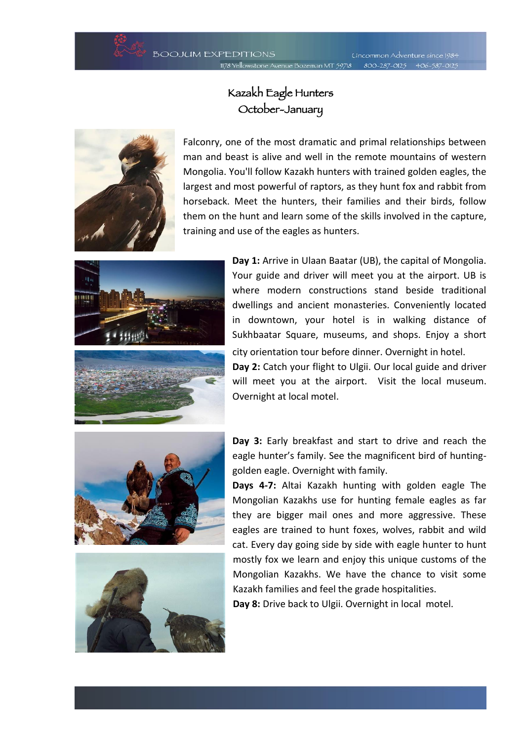

**Uncommon Adventure since 1984** venue Bozeman MT 59718 800-287-0125 406-587-0125

## Kazakh Eagle Hunters October-January



Falconry, one of the most dramatic and primal relationships between man and beast is alive and well in the remote mountains of western Mongolia. You'll follow Kazakh hunters with trained golden eagles, the largest and most powerful of raptors, as they hunt fox and rabbit from horseback. Meet the hunters, their families and their birds, follow them on the hunt and learn some of the skills involved in the capture, training and use of the eagles as hunters.



**Day 1:** Arrive in Ulaan Baatar (UB), the capital of Mongolia. Your guide and driver will meet you at the airport. UB is where modern constructions stand beside traditional dwellings and ancient monasteries. Conveniently located in downtown, your hotel is in walking distance of Sukhbaatar Square, museums, and shops. Enjoy a short city orientation tour before dinner. Overnight in hotel.

**Day 2:** Catch your flight to Ulgii. Our local guide and driver will meet you at the airport. Visit the local museum. Overnight at local motel.





**Day 3:** Early breakfast and start to drive and reach the eagle hunter's family. See the magnificent bird of huntinggolden eagle. Overnight with family.

**Days 4-7:** Altai Kazakh hunting with golden eagle The Mongolian Kazakhs use for hunting female eagles as far they are bigger mail ones and more aggressive. These eagles are trained to hunt foxes, wolves, rabbit and wild cat. Every day going side by side with eagle hunter to hunt mostly fox we learn and enjoy this unique customs of the Mongolian Kazakhs. We have the chance to visit some Kazakh families and feel the grade hospitalities.

**Day 8:** Drive back to Ulgii. Overnight in local motel.